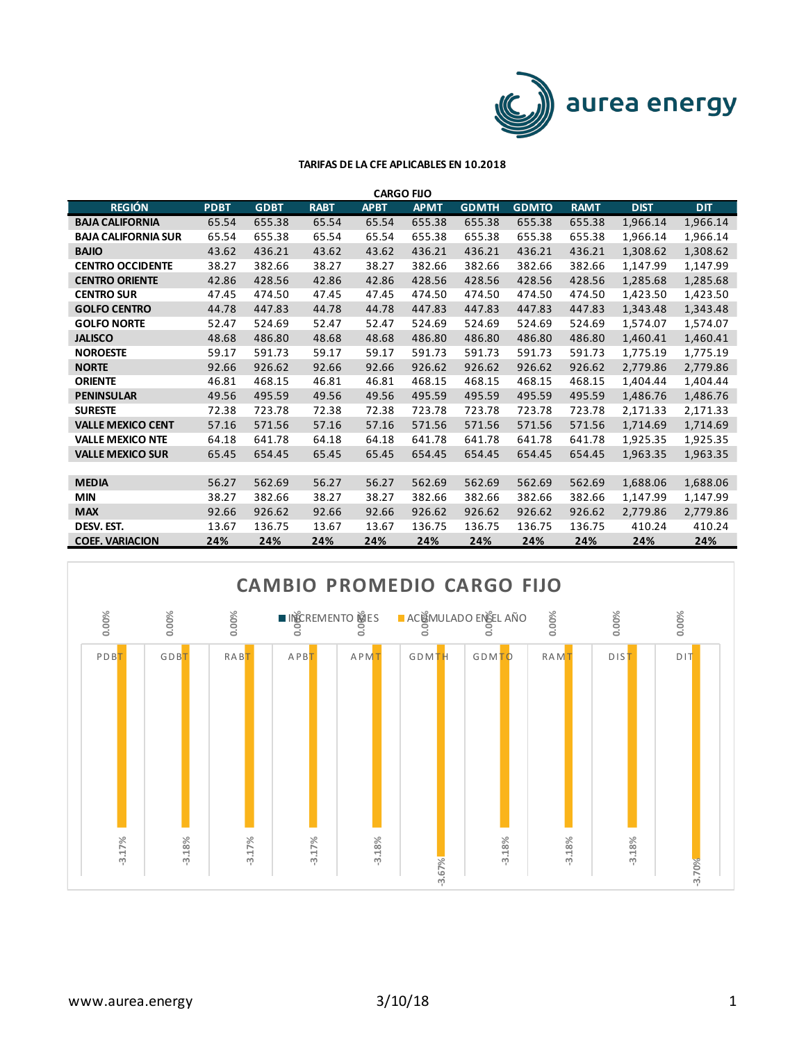

| <b>CARGO FIJO</b>          |             |             |             |             |             |              |              |             |             |            |  |
|----------------------------|-------------|-------------|-------------|-------------|-------------|--------------|--------------|-------------|-------------|------------|--|
| <b>REGIÓN</b>              | <b>PDBT</b> | <b>GDBT</b> | <b>RABT</b> | <b>APBT</b> | <b>APMT</b> | <b>GDMTH</b> | <b>GDMTO</b> | <b>RAMT</b> | <b>DIST</b> | <b>DIT</b> |  |
| <b>BAJA CALIFORNIA</b>     | 65.54       | 655.38      | 65.54       | 65.54       | 655.38      | 655.38       | 655.38       | 655.38      | 1,966.14    | 1,966.14   |  |
| <b>BAJA CALIFORNIA SUR</b> | 65.54       | 655.38      | 65.54       | 65.54       | 655.38      | 655.38       | 655.38       | 655.38      | 1,966.14    | 1,966.14   |  |
| <b>BAJIO</b>               | 43.62       | 436.21      | 43.62       | 43.62       | 436.21      | 436.21       | 436.21       | 436.21      | 1,308.62    | 1,308.62   |  |
| <b>CENTRO OCCIDENTE</b>    | 38.27       | 382.66      | 38.27       | 38.27       | 382.66      | 382.66       | 382.66       | 382.66      | 1,147.99    | 1,147.99   |  |
| <b>CENTRO ORIENTE</b>      | 42.86       | 428.56      | 42.86       | 42.86       | 428.56      | 428.56       | 428.56       | 428.56      | 1,285.68    | 1,285.68   |  |
| <b>CENTRO SUR</b>          | 47.45       | 474.50      | 47.45       | 47.45       | 474.50      | 474.50       | 474.50       | 474.50      | 1,423.50    | 1,423.50   |  |
| <b>GOLFO CENTRO</b>        | 44.78       | 447.83      | 44.78       | 44.78       | 447.83      | 447.83       | 447.83       | 447.83      | 1,343.48    | 1,343.48   |  |
| <b>GOLFO NORTE</b>         | 52.47       | 524.69      | 52.47       | 52.47       | 524.69      | 524.69       | 524.69       | 524.69      | 1,574.07    | 1,574.07   |  |
| <b>JALISCO</b>             | 48.68       | 486.80      | 48.68       | 48.68       | 486.80      | 486.80       | 486.80       | 486.80      | 1,460.41    | 1,460.41   |  |
| <b>NOROESTE</b>            | 59.17       | 591.73      | 59.17       | 59.17       | 591.73      | 591.73       | 591.73       | 591.73      | 1,775.19    | 1,775.19   |  |
| <b>NORTE</b>               | 92.66       | 926.62      | 92.66       | 92.66       | 926.62      | 926.62       | 926.62       | 926.62      | 2,779.86    | 2,779.86   |  |
| <b>ORIENTE</b>             | 46.81       | 468.15      | 46.81       | 46.81       | 468.15      | 468.15       | 468.15       | 468.15      | 1,404.44    | 1,404.44   |  |
| <b>PENINSULAR</b>          | 49.56       | 495.59      | 49.56       | 49.56       | 495.59      | 495.59       | 495.59       | 495.59      | 1,486.76    | 1,486.76   |  |
| <b>SURESTE</b>             | 72.38       | 723.78      | 72.38       | 72.38       | 723.78      | 723.78       | 723.78       | 723.78      | 2,171.33    | 2,171.33   |  |
| <b>VALLE MEXICO CENT</b>   | 57.16       | 571.56      | 57.16       | 57.16       | 571.56      | 571.56       | 571.56       | 571.56      | 1,714.69    | 1,714.69   |  |
| <b>VALLE MEXICO NTE</b>    | 64.18       | 641.78      | 64.18       | 64.18       | 641.78      | 641.78       | 641.78       | 641.78      | 1,925.35    | 1,925.35   |  |
| <b>VALLE MEXICO SUR</b>    | 65.45       | 654.45      | 65.45       | 65.45       | 654.45      | 654.45       | 654.45       | 654.45      | 1,963.35    | 1,963.35   |  |
|                            |             |             |             |             |             |              |              |             |             |            |  |
| <b>MEDIA</b>               | 56.27       | 562.69      | 56.27       | 56.27       | 562.69      | 562.69       | 562.69       | 562.69      | 1,688.06    | 1,688.06   |  |
| <b>MIN</b>                 | 38.27       | 382.66      | 38.27       | 38.27       | 382.66      | 382.66       | 382.66       | 382.66      | 1,147.99    | 1,147.99   |  |
| <b>MAX</b>                 | 92.66       | 926.62      | 92.66       | 92.66       | 926.62      | 926.62       | 926.62       | 926.62      | 2,779.86    | 2,779.86   |  |
| DESV. EST.                 | 13.67       | 136.75      | 13.67       | 13.67       | 136.75      | 136.75       | 136.75       | 136.75      | 410.24      | 410.24     |  |
| <b>COEF. VARIACION</b>     | 24%         | 24%         | 24%         | 24%         | 24%         | 24%          | 24%          | 24%         | 24%         | 24%        |  |

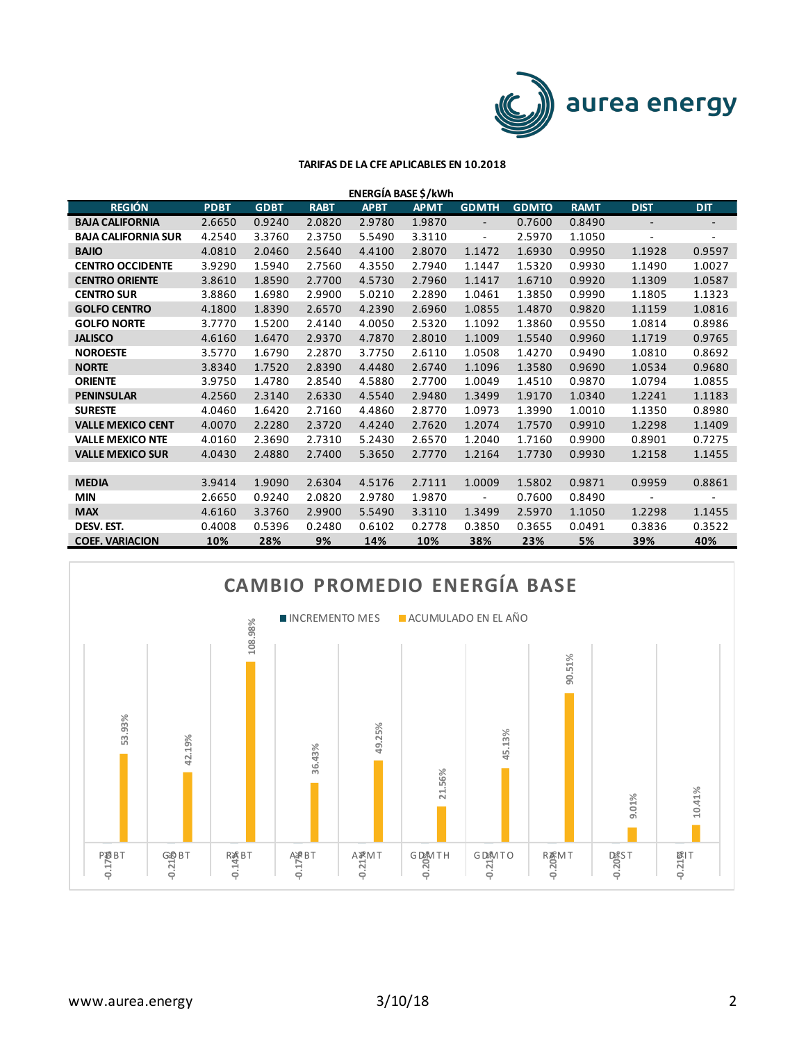

| ENERGÍA BASE \$/kWh        |             |             |             |             |             |                          |              |             |                   |                          |
|----------------------------|-------------|-------------|-------------|-------------|-------------|--------------------------|--------------|-------------|-------------------|--------------------------|
| <b>REGIÓN</b>              | <b>PDBT</b> | <b>GDBT</b> | <b>RABT</b> | <b>APBT</b> | <b>APMT</b> | <b>GDMTH</b>             | <b>GDMTO</b> | <b>RAMT</b> | <b>DIST</b>       | <b>DIT</b>               |
| <b>BAJA CALIFORNIA</b>     | 2.6650      | 0.9240      | 2.0820      | 2.9780      | 1.9870      | $\overline{\phantom{a}}$ | 0.7600       | 0.8490      | $\qquad \qquad -$ |                          |
| <b>BAJA CALIFORNIA SUR</b> | 4.2540      | 3.3760      | 2.3750      | 5.5490      | 3.3110      | $\overline{\phantom{a}}$ | 2.5970       | 1.1050      | ÷,                | $\overline{\phantom{a}}$ |
| <b>BAJIO</b>               | 4.0810      | 2.0460      | 2.5640      | 4.4100      | 2.8070      | 1.1472                   | 1.6930       | 0.9950      | 1.1928            | 0.9597                   |
| <b>CENTRO OCCIDENTE</b>    | 3.9290      | 1.5940      | 2.7560      | 4.3550      | 2.7940      | 1.1447                   | 1.5320       | 0.9930      | 1.1490            | 1.0027                   |
| <b>CENTRO ORIENTE</b>      | 3.8610      | 1.8590      | 2.7700      | 4.5730      | 2.7960      | 1.1417                   | 1.6710       | 0.9920      | 1.1309            | 1.0587                   |
| <b>CENTRO SUR</b>          | 3.8860      | 1.6980      | 2.9900      | 5.0210      | 2.2890      | 1.0461                   | 1.3850       | 0.9990      | 1.1805            | 1.1323                   |
| <b>GOLFO CENTRO</b>        | 4.1800      | 1.8390      | 2.6570      | 4.2390      | 2.6960      | 1.0855                   | 1.4870       | 0.9820      | 1.1159            | 1.0816                   |
| <b>GOLFO NORTE</b>         | 3.7770      | 1.5200      | 2.4140      | 4.0050      | 2.5320      | 1.1092                   | 1.3860       | 0.9550      | 1.0814            | 0.8986                   |
| <b>JALISCO</b>             | 4.6160      | 1.6470      | 2.9370      | 4.7870      | 2.8010      | 1.1009                   | 1.5540       | 0.9960      | 1.1719            | 0.9765                   |
| <b>NOROESTE</b>            | 3.5770      | 1.6790      | 2.2870      | 3.7750      | 2.6110      | 1.0508                   | 1.4270       | 0.9490      | 1.0810            | 0.8692                   |
| <b>NORTE</b>               | 3.8340      | 1.7520      | 2.8390      | 4.4480      | 2.6740      | 1.1096                   | 1.3580       | 0.9690      | 1.0534            | 0.9680                   |
| <b>ORIENTE</b>             | 3.9750      | 1.4780      | 2.8540      | 4.5880      | 2.7700      | 1.0049                   | 1.4510       | 0.9870      | 1.0794            | 1.0855                   |
| <b>PENINSULAR</b>          | 4.2560      | 2.3140      | 2.6330      | 4.5540      | 2.9480      | 1.3499                   | 1.9170       | 1.0340      | 1.2241            | 1.1183                   |
| <b>SURESTE</b>             | 4.0460      | 1.6420      | 2.7160      | 4.4860      | 2.8770      | 1.0973                   | 1.3990       | 1.0010      | 1.1350            | 0.8980                   |
| <b>VALLE MEXICO CENT</b>   | 4.0070      | 2.2280      | 2.3720      | 4.4240      | 2.7620      | 1.2074                   | 1.7570       | 0.9910      | 1.2298            | 1.1409                   |
| <b>VALLE MEXICO NTE</b>    | 4.0160      | 2.3690      | 2.7310      | 5.2430      | 2.6570      | 1.2040                   | 1.7160       | 0.9900      | 0.8901            | 0.7275                   |
| <b>VALLE MEXICO SUR</b>    | 4.0430      | 2.4880      | 2.7400      | 5.3650      | 2.7770      | 1.2164                   | 1.7730       | 0.9930      | 1.2158            | 1.1455                   |
|                            |             |             |             |             |             |                          |              |             |                   |                          |
| <b>MEDIA</b>               | 3.9414      | 1.9090      | 2.6304      | 4.5176      | 2.7111      | 1.0009                   | 1.5802       | 0.9871      | 0.9959            | 0.8861                   |
| <b>MIN</b>                 | 2.6650      | 0.9240      | 2.0820      | 2.9780      | 1.9870      | $\overline{\phantom{a}}$ | 0.7600       | 0.8490      |                   |                          |
| <b>MAX</b>                 | 4.6160      | 3.3760      | 2.9900      | 5.5490      | 3.3110      | 1.3499                   | 2.5970       | 1.1050      | 1.2298            | 1.1455                   |
| DESV. EST.                 | 0.4008      | 0.5396      | 0.2480      | 0.6102      | 0.2778      | 0.3850                   | 0.3655       | 0.0491      | 0.3836            | 0.3522                   |
| <b>COEF. VARIACION</b>     | 10%         | 28%         | 9%          | 14%         | 10%         | 38%                      | 23%          | 5%          | 39%               | 40%                      |

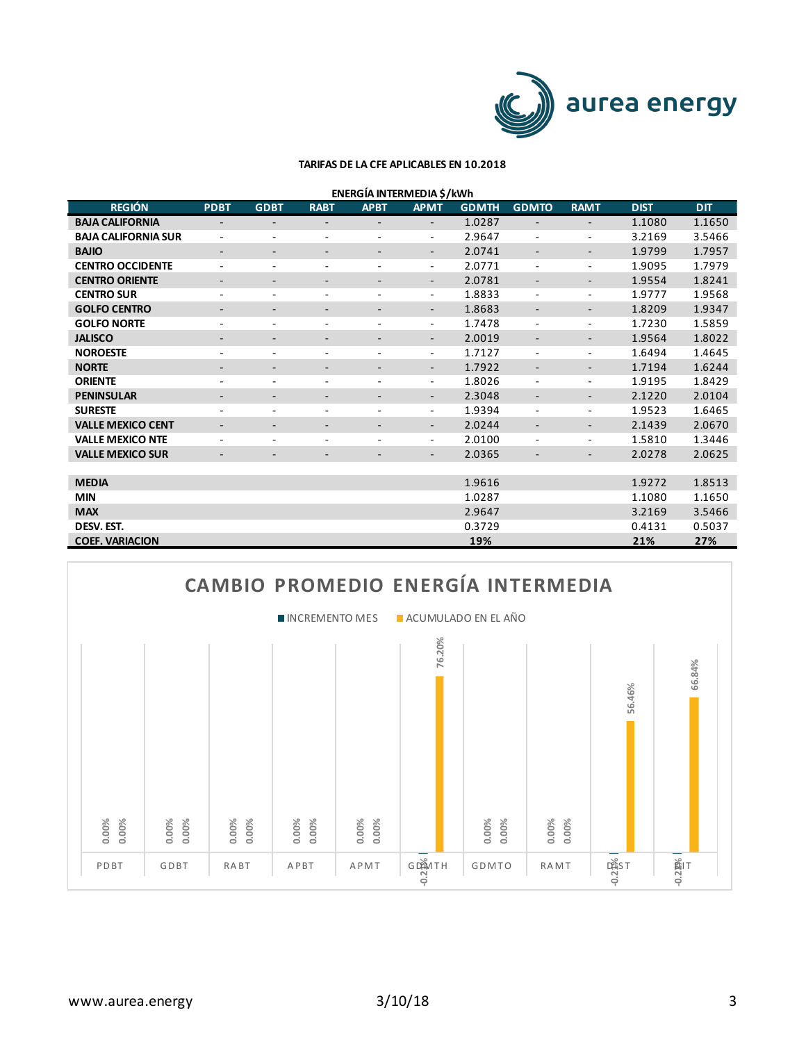

| <b>REGIÓN</b>              | <b>PDBT</b>                  | <b>GDBT</b>              | <b>RABT</b>              | <b>APBT</b>              | <b>APMT</b>              | <b>GDMTH</b> | <b>GDMTO</b>             | <b>RAMT</b>              | <b>DIST</b> | <b>DIT</b> |
|----------------------------|------------------------------|--------------------------|--------------------------|--------------------------|--------------------------|--------------|--------------------------|--------------------------|-------------|------------|
| <b>BAJA CALIFORNIA</b>     | $\qquad \qquad -$            | $\overline{\phantom{a}}$ | $\overline{\phantom{0}}$ |                          | $\overline{\phantom{a}}$ | 1.0287       | $\overline{\phantom{a}}$ | $\overline{\phantom{a}}$ | 1.1080      | 1.1650     |
| <b>BAJA CALIFORNIA SUR</b> | $\qquad \qquad -$            | -                        | $\overline{\phantom{a}}$ | ۰                        | $\overline{\phantom{a}}$ | 2.9647       | $\overline{\phantom{a}}$ | $\overline{\phantom{a}}$ | 3.2169      | 3.5466     |
| <b>BAJIO</b>               | $\qquad \qquad \blacksquare$ |                          |                          |                          | $\overline{\phantom{a}}$ | 2.0741       | -                        | $\overline{\phantom{a}}$ | 1.9799      | 1.7957     |
| <b>CENTRO OCCIDENTE</b>    | $\qquad \qquad -$            | -                        | $\qquad \qquad -$        | ۰                        | $\overline{\phantom{a}}$ | 2.0771       | ٠                        | $\overline{\phantom{a}}$ | 1.9095      | 1.7979     |
| <b>CENTRO ORIENTE</b>      | $\qquad \qquad \blacksquare$ | -                        | -                        |                          | $\overline{\phantom{a}}$ | 2.0781       | ٠                        | $\overline{\phantom{a}}$ | 1.9554      | 1.8241     |
| <b>CENTRO SUR</b>          | ٠                            | $\overline{\phantom{0}}$ | $\overline{\phantom{a}}$ | ٠                        | $\overline{\phantom{a}}$ | 1.8833       | $\overline{\phantom{a}}$ | $\overline{\phantom{a}}$ | 1.9777      | 1.9568     |
| <b>GOLFO CENTRO</b>        | $\overline{\phantom{a}}$     | -                        | ٠                        | -                        | $\overline{\phantom{a}}$ | 1.8683       | -                        | $\overline{\phantom{a}}$ | 1.8209      | 1.9347     |
| <b>GOLFO NORTE</b>         | ٠                            | $\sim$                   | $\overline{\phantom{a}}$ | ٠                        | $\overline{\phantom{a}}$ | 1.7478       | $\overline{\phantom{a}}$ | $\overline{\phantom{a}}$ | 1.7230      | 1.5859     |
| <b>JALISCO</b>             | $\qquad \qquad \blacksquare$ | -                        | -                        | $\overline{\phantom{0}}$ | $\overline{\phantom{a}}$ | 2.0019       | ٠                        | $\overline{\phantom{a}}$ | 1.9564      | 1.8022     |
| <b>NOROESTE</b>            | ٠                            | ٠                        | $\overline{\phantom{0}}$ | ٠                        | $\overline{\phantom{a}}$ | 1.7127       | ٠                        | $\overline{\phantom{a}}$ | 1.6494      | 1.4645     |
| <b>NORTE</b>               |                              |                          |                          |                          | $\overline{\phantom{a}}$ | 1.7922       | ٠                        | $\overline{\phantom{a}}$ | 1.7194      | 1.6244     |
| <b>ORIENTE</b>             | ٠                            | -                        | $\overline{\phantom{0}}$ | ٠                        | $\overline{\phantom{a}}$ | 1.8026       | $\overline{\phantom{a}}$ | $\overline{\phantom{a}}$ | 1.9195      | 1.8429     |
| <b>PENINSULAR</b>          | -                            | -                        |                          | ٠                        | $\overline{\phantom{a}}$ | 2.3048       | -                        | $\overline{\phantom{a}}$ | 2.1220      | 2.0104     |
| <b>SURESTE</b>             | ٠                            | ٠                        | ٠                        |                          | $\overline{\phantom{a}}$ | 1.9394       | $\overline{\phantom{a}}$ | $\overline{\phantom{a}}$ | 1.9523      | 1.6465     |
| <b>VALLE MEXICO CENT</b>   | $\qquad \qquad \blacksquare$ | -                        |                          |                          | $\overline{\phantom{a}}$ | 2.0244       | ٠                        | $\overline{\phantom{a}}$ | 2.1439      | 2.0670     |
| <b>VALLE MEXICO NTE</b>    | ٠                            | ٠                        | ٠                        |                          | $\overline{\phantom{a}}$ | 2.0100       | ٠                        | $\overline{\phantom{a}}$ | 1.5810      | 1.3446     |
| <b>VALLE MEXICO SUR</b>    | $\qquad \qquad \blacksquare$ |                          |                          |                          | $\overline{\phantom{a}}$ | 2.0365       | -                        | $\overline{\phantom{a}}$ | 2.0278      | 2.0625     |
|                            |                              |                          |                          |                          |                          |              |                          |                          |             |            |
| <b>MEDIA</b>               |                              |                          |                          |                          |                          | 1.9616       |                          |                          | 1.9272      | 1.8513     |
| <b>MIN</b>                 |                              |                          |                          |                          |                          | 1.0287       |                          |                          | 1.1080      | 1.1650     |
| <b>MAX</b>                 |                              |                          |                          |                          |                          | 2.9647       |                          |                          | 3.2169      | 3.5466     |
| DESV. EST.                 |                              |                          |                          |                          |                          | 0.3729       |                          |                          | 0.4131      | 0.5037     |
| <b>COEF. VARIACION</b>     |                              |                          |                          |                          |                          | 19%          |                          |                          | 21%         | 27%        |

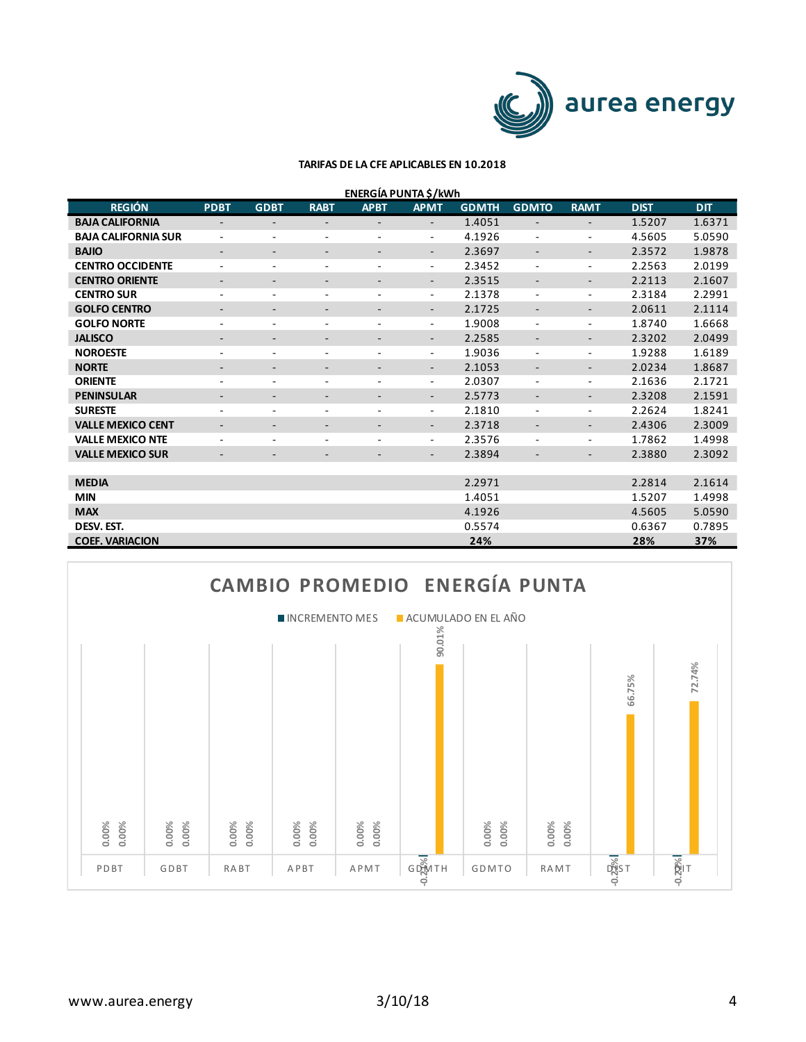

| ENERGÍA PUNTA \$/kWh |  |
|----------------------|--|
|                      |  |

| <b>REGIÓN</b>              | <b>PDBT</b>                  | <b>GDBT</b>              | <b>RABT</b>                  | <b>APBT</b> | <b>APMT</b>              | <b>GDMTH</b> | <b>GDMTO</b>             | <b>RAMT</b>              | <b>DIST</b> | DIT    |
|----------------------------|------------------------------|--------------------------|------------------------------|-------------|--------------------------|--------------|--------------------------|--------------------------|-------------|--------|
| <b>BAJA CALIFORNIA</b>     | $\overline{\phantom{a}}$     | $\overline{\phantom{0}}$ |                              |             | $\overline{\phantom{0}}$ | 1.4051       | $\overline{\phantom{a}}$ | $\overline{\phantom{a}}$ | 1.5207      | 1.6371 |
| <b>BAJA CALIFORNIA SUR</b> | $\overline{a}$               | ٠                        | $\overline{\phantom{a}}$     | ٠           | $\overline{\phantom{a}}$ | 4.1926       | $\overline{\phantom{a}}$ | $\overline{\phantom{a}}$ | 4.5605      | 5.0590 |
| <b>BAJIO</b>               | $\qquad \qquad \blacksquare$ |                          |                              |             | $\overline{\phantom{a}}$ | 2.3697       | ٠                        | $\overline{\phantom{a}}$ | 2.3572      | 1.9878 |
| <b>CENTRO OCCIDENTE</b>    | ٠                            | ٠                        | $\overline{\phantom{0}}$     | ٠           | $\overline{\phantom{a}}$ | 2.3452       | $\overline{\phantom{a}}$ | $\overline{\phantom{a}}$ | 2.2563      | 2.0199 |
| <b>CENTRO ORIENTE</b>      | $\qquad \qquad \blacksquare$ |                          |                              |             | $\overline{\phantom{a}}$ | 2.3515       | ٠                        | $\overline{\phantom{a}}$ | 2.2113      | 2.1607 |
| <b>CENTRO SUR</b>          | $\qquad \qquad \blacksquare$ | -                        | $\qquad \qquad \blacksquare$ |             | $\overline{\phantom{a}}$ | 2.1378       | $\overline{\phantom{a}}$ | $\overline{\phantom{a}}$ | 2.3184      | 2.2991 |
| <b>GOLFO CENTRO</b>        | $\qquad \qquad \blacksquare$ | -                        | ٠                            | -           | $\overline{\phantom{a}}$ | 2.1725       | $\overline{\phantom{a}}$ | $\overline{\phantom{a}}$ | 2.0611      | 2.1114 |
| <b>GOLFO NORTE</b>         | ٠                            | $\overline{\phantom{a}}$ | ٠                            | ٠           | $\overline{\phantom{a}}$ | 1.9008       | ٠                        | $\overline{\phantom{a}}$ | 1.8740      | 1.6668 |
| <b>JALISCO</b>             | -                            | -                        | -                            | ۰.          | $\overline{\phantom{a}}$ | 2.2585       | -                        | $\overline{\phantom{a}}$ | 2.3202      | 2.0499 |
| <b>NOROESTE</b>            | ٠                            | $\overline{\phantom{0}}$ | $\overline{\phantom{0}}$     | ٠           | $\overline{\phantom{a}}$ | 1.9036       | $\overline{\phantom{a}}$ | $\overline{\phantom{a}}$ | 1.9288      | 1.6189 |
| <b>NORTE</b>               |                              |                          |                              |             | $\overline{\phantom{a}}$ | 2.1053       | ٠                        | $\overline{\phantom{a}}$ | 2.0234      | 1.8687 |
| <b>ORIENTE</b>             | ٠                            | ٠                        | $\overline{\phantom{0}}$     | ٠           | $\overline{\phantom{a}}$ | 2.0307       | $\overline{\phantom{a}}$ | $\overline{\phantom{a}}$ | 2.1636      | 2.1721 |
| <b>PENINSULAR</b>          |                              |                          |                              |             | $\overline{\phantom{a}}$ | 2.5773       | $\overline{\phantom{a}}$ | $\overline{\phantom{a}}$ | 2.3208      | 2.1591 |
| <b>SURESTE</b>             | ٠                            | ٠                        |                              |             | $\overline{\phantom{a}}$ | 2.1810       | $\overline{\phantom{a}}$ | $\overline{\phantom{a}}$ | 2.2624      | 1.8241 |
| <b>VALLE MEXICO CENT</b>   | $\qquad \qquad \blacksquare$ | -                        | ٠                            |             | $\overline{\phantom{a}}$ | 2.3718       | -                        | $\overline{\phantom{a}}$ | 2.4306      | 2.3009 |
| <b>VALLE MEXICO NTE</b>    |                              |                          |                              |             | $\overline{\phantom{a}}$ | 2.3576       | ۰.                       | $\overline{\phantom{a}}$ | 1.7862      | 1.4998 |
| <b>VALLE MEXICO SUR</b>    |                              |                          |                              |             | $\overline{\phantom{a}}$ | 2.3894       | ٠                        | $\overline{\phantom{a}}$ | 2.3880      | 2.3092 |
|                            |                              |                          |                              |             |                          |              |                          |                          |             |        |
| <b>MEDIA</b>               |                              |                          |                              |             |                          | 2.2971       |                          |                          | 2.2814      | 2.1614 |
| <b>MIN</b>                 |                              |                          |                              |             |                          | 1.4051       |                          |                          | 1.5207      | 1.4998 |
| <b>MAX</b>                 |                              |                          |                              |             |                          | 4.1926       |                          |                          | 4.5605      | 5.0590 |
| DESV. EST.                 |                              |                          |                              |             |                          | 0.5574       |                          |                          | 0.6367      | 0.7895 |
| <b>COEF. VARIACION</b>     |                              |                          |                              |             |                          | 24%          |                          |                          | 28%         | 37%    |

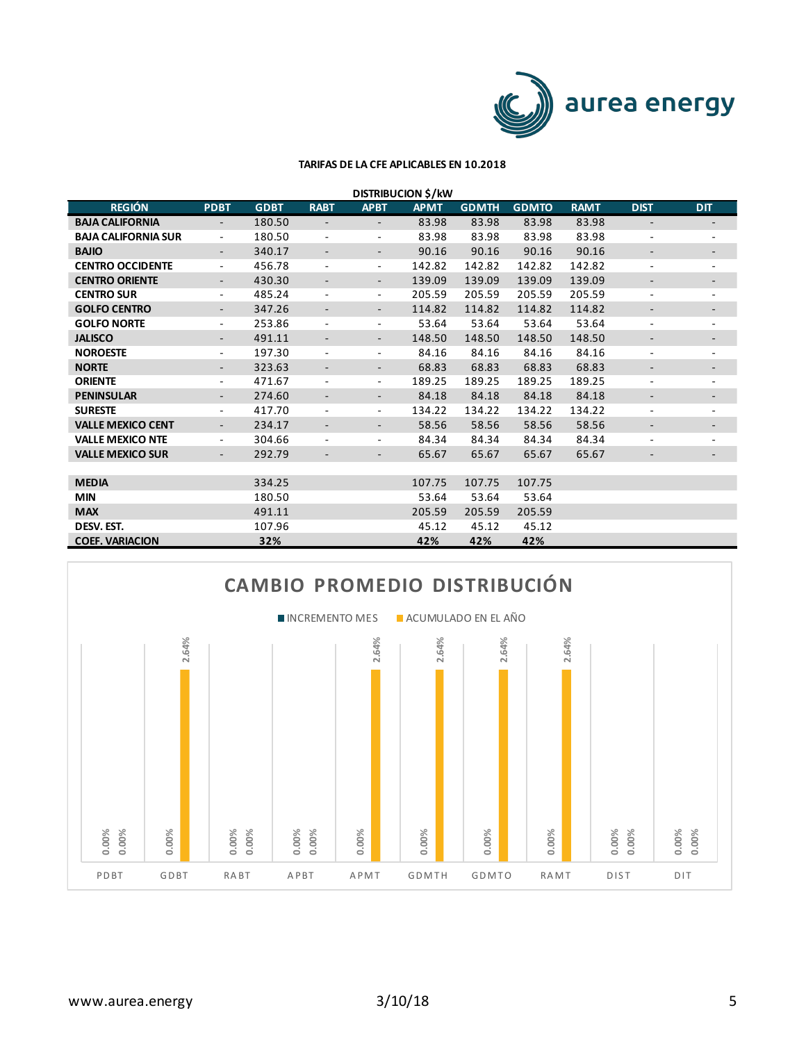

| <b>DISTRIBUCION \$/kW</b>  |             |             |                          |                          |             |              |              |             |                          |                          |  |
|----------------------------|-------------|-------------|--------------------------|--------------------------|-------------|--------------|--------------|-------------|--------------------------|--------------------------|--|
| <b>REGIÓN</b>              | <b>PDBT</b> | <b>GDBT</b> | <b>RABT</b>              | <b>APBT</b>              | <b>APMT</b> | <b>GDMTH</b> | <b>GDMTO</b> | <b>RAMT</b> | <b>DIST</b>              | <b>DIT</b>               |  |
| <b>BAJA CALIFORNIA</b>     |             | 180.50      |                          |                          | 83.98       | 83.98        | 83.98        | 83.98       | ٠                        |                          |  |
| <b>BAJA CALIFORNIA SUR</b> | Ξ.          | 180.50      | $\overline{\phantom{a}}$ | $\overline{\phantom{a}}$ | 83.98       | 83.98        | 83.98        | 83.98       | ٠                        | $\overline{\phantom{a}}$ |  |
| <b>BAJIO</b>               |             | 340.17      | $\qquad \qquad -$        |                          | 90.16       | 90.16        | 90.16        | 90.16       | ٠                        |                          |  |
| <b>CENTRO OCCIDENTE</b>    | ٠           | 456.78      | $\overline{\phantom{a}}$ | $\overline{\phantom{a}}$ | 142.82      | 142.82       | 142.82       | 142.82      | $\overline{\phantom{a}}$ | $\overline{\phantom{a}}$ |  |
| <b>CENTRO ORIENTE</b>      |             | 430.30      |                          | ٠                        | 139.09      | 139.09       | 139.09       | 139.09      | ٠                        |                          |  |
| <b>CENTRO SUR</b>          | ٠           | 485.24      | $\overline{\phantom{a}}$ | $\overline{\phantom{a}}$ | 205.59      | 205.59       | 205.59       | 205.59      | ۰.                       | ٠                        |  |
| <b>GOLFO CENTRO</b>        |             | 347.26      |                          |                          | 114.82      | 114.82       | 114.82       | 114.82      | $\qquad \qquad -$        |                          |  |
| <b>GOLFO NORTE</b>         | ٠           | 253.86      | $\overline{\phantom{a}}$ | $\overline{\phantom{a}}$ | 53.64       | 53.64        | 53.64        | 53.64       | ٠                        | $\overline{\phantom{a}}$ |  |
| <b>JALISCO</b>             |             | 491.11      |                          | ٠                        | 148.50      | 148.50       | 148.50       | 148.50      | -                        |                          |  |
| <b>NOROESTE</b>            | ٠           | 197.30      | $\overline{\phantom{a}}$ | $\sim$                   | 84.16       | 84.16        | 84.16        | 84.16       | ٠                        | $\overline{\phantom{a}}$ |  |
| <b>NORTE</b>               |             | 323.63      | $\overline{\phantom{a}}$ |                          | 68.83       | 68.83        | 68.83        | 68.83       | -                        |                          |  |
| <b>ORIENTE</b>             | ٠           | 471.67      | $\overline{\phantom{a}}$ | $\overline{\phantom{a}}$ | 189.25      | 189.25       | 189.25       | 189.25      | ٠                        | $\overline{\phantom{a}}$ |  |
| <b>PENINSULAR</b>          |             | 274.60      | $\overline{\phantom{a}}$ |                          | 84.18       | 84.18        | 84.18        | 84.18       | -                        |                          |  |
| <b>SURESTE</b>             | ٠           | 417.70      | $\overline{\phantom{a}}$ | $\overline{\phantom{a}}$ | 134.22      | 134.22       | 134.22       | 134.22      | ٠                        | $\overline{\phantom{a}}$ |  |
| <b>VALLE MEXICO CENT</b>   | ٠           | 234.17      | $\overline{\phantom{a}}$ | ٠                        | 58.56       | 58.56        | 58.56        | 58.56       | ٠                        |                          |  |
| <b>VALLE MEXICO NTE</b>    | ٠           | 304.66      | $\overline{\phantom{a}}$ | $\sim$                   | 84.34       | 84.34        | 84.34        | 84.34       | ٠                        | $\sim$                   |  |
| <b>VALLE MEXICO SUR</b>    |             | 292.79      |                          | ٠                        | 65.67       | 65.67        | 65.67        | 65.67       | ٠                        |                          |  |
|                            |             |             |                          |                          |             |              |              |             |                          |                          |  |
| <b>MEDIA</b>               |             | 334.25      |                          |                          | 107.75      | 107.75       | 107.75       |             |                          |                          |  |
| <b>MIN</b>                 |             | 180.50      |                          |                          | 53.64       | 53.64        | 53.64        |             |                          |                          |  |
| <b>MAX</b>                 |             | 491.11      |                          |                          | 205.59      | 205.59       | 205.59       |             |                          |                          |  |
| DESV. EST.                 |             | 107.96      |                          |                          | 45.12       | 45.12        | 45.12        |             |                          |                          |  |
| <b>COEF. VARIACION</b>     |             | 32%         |                          |                          | 42%         | 42%          | 42%          |             |                          |                          |  |